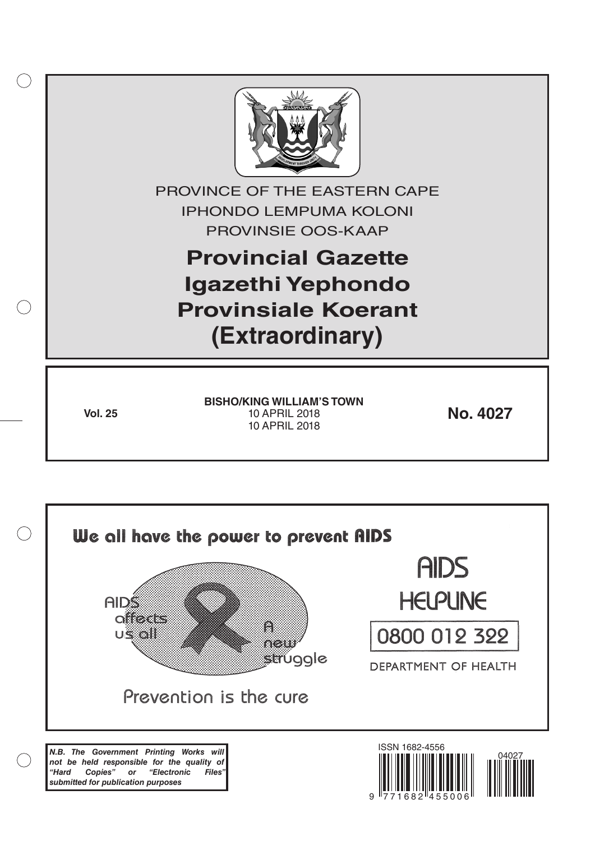

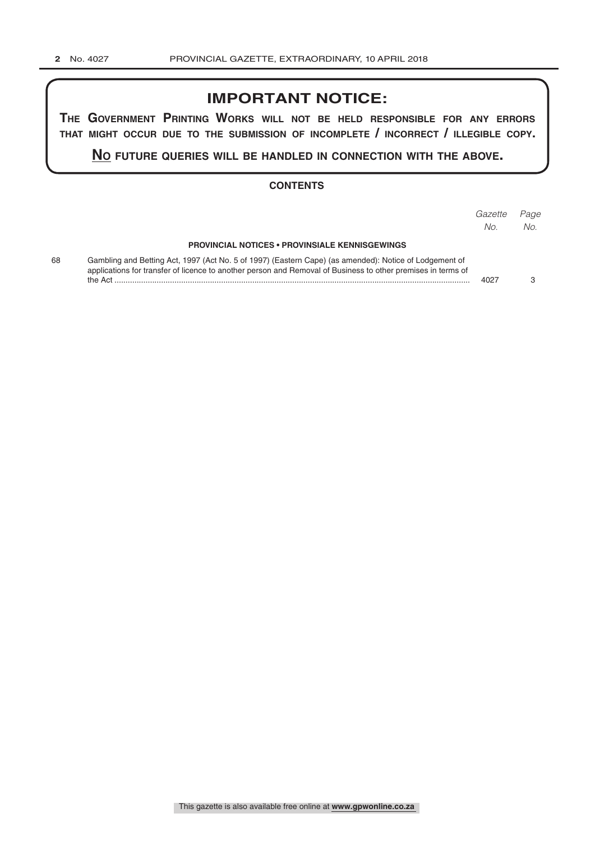# **IMPORTANT NOTICE:**

**The GovernmenT PrinTinG Works Will noT be held resPonsible for any errors ThaT miGhT occur due To The submission of incomPleTe / incorrecT / illeGible coPy.**

**no fuTure queries Will be handled in connecTion WiTh The above.**

### **CONTENTS**

|    |                                                                                                                                                                                                                                    | Gazette<br>No. | Page<br>No. |
|----|------------------------------------------------------------------------------------------------------------------------------------------------------------------------------------------------------------------------------------|----------------|-------------|
|    | <b>PROVINCIAL NOTICES • PROVINSIALE KENNISGEWINGS</b>                                                                                                                                                                              |                |             |
| 68 | Gambling and Betting Act, 1997 (Act No. 5 of 1997) (Eastern Cape) (as amended): Notice of Lodgement of<br>applications for transfer of licence to another person and Removal of Business to other premises in terms of<br>the Act. | 4027           |             |

This gazette is also available free online at **www.gpwonline.co.za**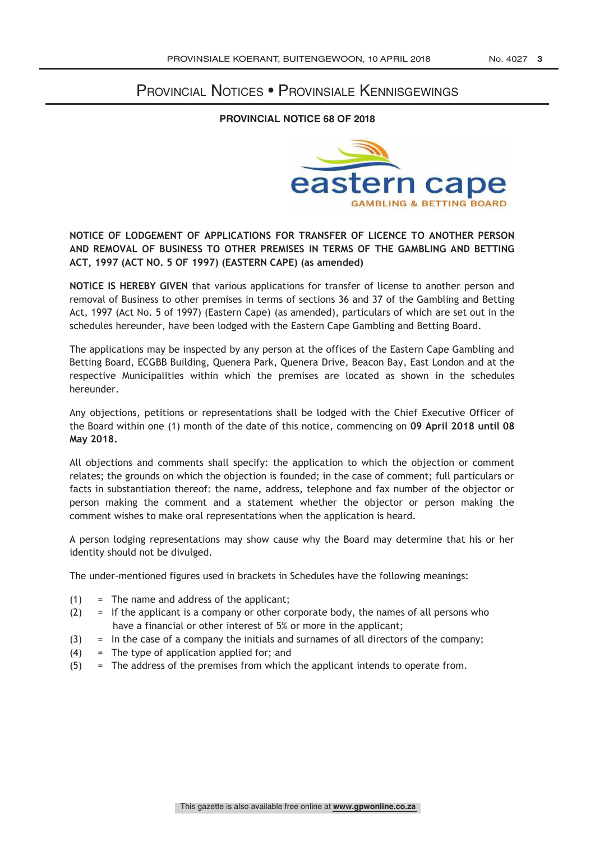# Provincial Notices • Provinsiale Kennisgewings

# **PROVINCIAL NOTICE 68 OF 2018**



# **NOTICE OF LODGEMENT OF APPLICATIONS FOR TRANSFER OF LICENCE TO ANOTHER PERSON AND REMOVAL OF BUSINESS TO OTHER PREMISES IN TERMS OF THE GAMBLING AND BETTING ACT, 1997 (ACT NO. 5 OF 1997) (EASTERN CAPE) (as amended)**

**NOTICE IS HEREBY GIVEN** that various applications for transfer of license to another person and removal of Business to other premises in terms of sections 36 and 37 of the Gambling and Betting Act, 1997 (Act No. 5 of 1997) (Eastern Cape) (as amended), particulars of which are set out in the schedules hereunder, have been lodged with the Eastern Cape Gambling and Betting Board.

The applications may be inspected by any person at the offices of the Eastern Cape Gambling and Betting Board, ECGBB Building, Quenera Park, Quenera Drive, Beacon Bay, East London and at the respective Municipalities within which the premises are located as shown in the schedules hereunder.

Any objections, petitions or representations shall be lodged with the Chief Executive Officer of the Board within one (1) month of the date of this notice, commencing on **09 April 2018 until 08 May 2018.**

All objections and comments shall specify: the application to which the objection or comment relates; the grounds on which the objection is founded; in the case of comment; full particulars or facts in substantiation thereof: the name, address, telephone and fax number of the objector or person making the comment and a statement whether the objector or person making the comment wishes to make oral representations when the application is heard.

A person lodging representations may show cause why the Board may determine that his or her identity should not be divulged.

The under-mentioned figures used in brackets in Schedules have the following meanings:

- (1) = The name and address of the applicant;
- (2) = If the applicant is a company or other corporate body, the names of all persons who have a financial or other interest of 5% or more in the applicant;
- (3) = In the case of a company the initials and surnames of all directors of the company;
- (4) = The type of application applied for; and
- (5) = The address of the premises from which the applicant intends to operate from.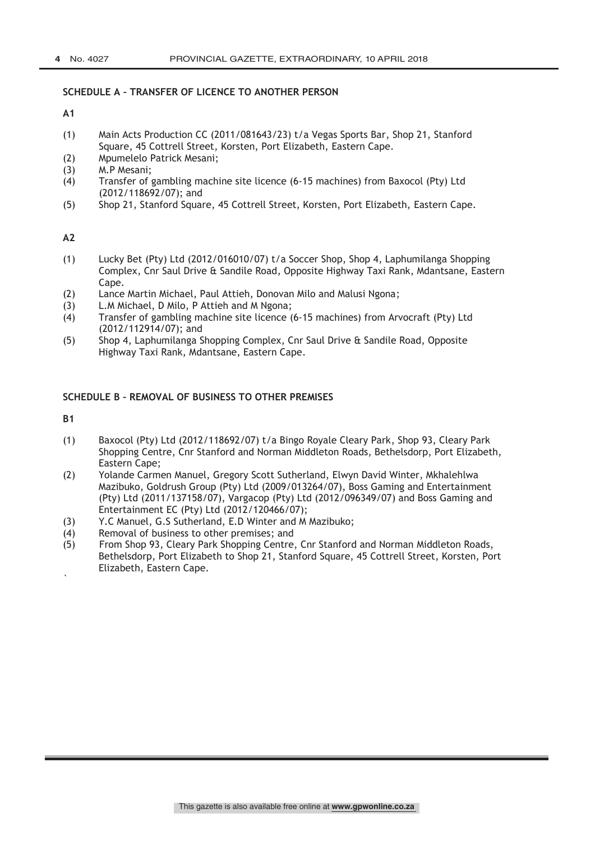#### **SCHEDULE A – TRANSFER OF LICENCE TO ANOTHER PERSON**

# **A1**

- (1) Main Acts Production CC (2011/081643/23) t/a Vegas Sports Bar, Shop 21, Stanford Square, 45 Cottrell Street, Korsten, Port Elizabeth, Eastern Cape.
- (2) Mpumelelo Patrick Mesani;
- (3) M.P Mesani;
- (4) Transfer of gambling machine site licence (6-15 machines) from Baxocol (Pty) Ltd (2012/118692/07); and
- (5) Shop 21, Stanford Square, 45 Cottrell Street, Korsten, Port Elizabeth, Eastern Cape.

# **A2**

- (1) Lucky Bet (Pty) Ltd (2012/016010/07) t/a Soccer Shop, Shop 4, Laphumilanga Shopping Complex, Cnr Saul Drive & Sandile Road, Opposite Highway Taxi Rank, Mdantsane, Eastern Cape.
- (2) Lance Martin Michael, Paul Attieh, Donovan Milo and Malusi Ngona;
- (3) L.M Michael, D Milo, P Attieh and M Ngona;
- (4) Transfer of gambling machine site licence (6-15 machines) from Arvocraft (Pty) Ltd (2012/112914/07); and
- (5) Shop 4, Laphumilanga Shopping Complex, Cnr Saul Drive & Sandile Road, Opposite Highway Taxi Rank, Mdantsane, Eastern Cape.

# **SCHEDULE B – REMOVAL OF BUSINESS TO OTHER PREMISES**

**B1**

`

- (1) Baxocol (Pty) Ltd (2012/118692/07) t/a Bingo Royale Cleary Park, Shop 93, Cleary Park Shopping Centre, Cnr Stanford and Norman Middleton Roads, Bethelsdorp, Port Elizabeth, Eastern Cape;
- (2) Yolande Carmen Manuel, Gregory Scott Sutherland, Elwyn David Winter, Mkhalehlwa Mazibuko, Goldrush Group (Pty) Ltd (2009/013264/07), Boss Gaming and Entertainment (Pty) Ltd (2011/137158/07), Vargacop (Pty) Ltd (2012/096349/07) and Boss Gaming and Entertainment EC (Pty) Ltd (2012/120466/07);
- (3) Y.C Manuel, G.S Sutherland, E.D Winter and M Mazibuko;
- (4) Removal of business to other premises; and
- (5) From Shop 93, Cleary Park Shopping Centre, Cnr Stanford and Norman Middleton Roads, Bethelsdorp, Port Elizabeth to Shop 21, Stanford Square, 45 Cottrell Street, Korsten, Port Elizabeth, Eastern Cape.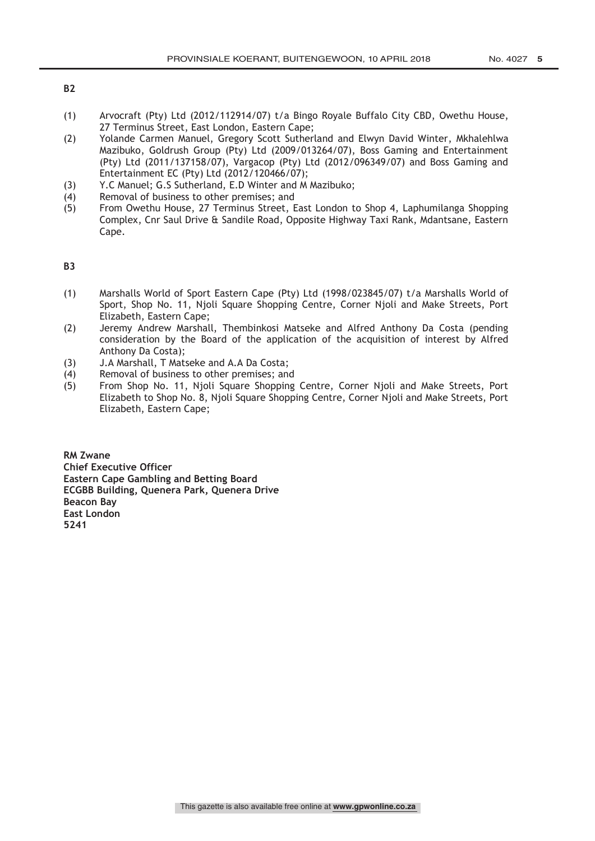# **B2**

- (1) Arvocraft (Pty) Ltd (2012/112914/07) t/a Bingo Royale Buffalo City CBD, Owethu House, 27 Terminus Street, East London, Eastern Cape;
- (2) Yolande Carmen Manuel, Gregory Scott Sutherland and Elwyn David Winter, Mkhalehlwa Mazibuko, Goldrush Group (Pty) Ltd (2009/013264/07), Boss Gaming and Entertainment (Pty) Ltd (2011/137158/07), Vargacop (Pty) Ltd (2012/096349/07) and Boss Gaming and Entertainment EC (Pty) Ltd (2012/120466/07);
- (3) Y.C Manuel; G.S Sutherland, E.D Winter and M Mazibuko;
- (4) Removal of business to other premises; and
- (5) From Owethu House, 27 Terminus Street, East London to Shop 4, Laphumilanga Shopping Complex, Cnr Saul Drive & Sandile Road, Opposite Highway Taxi Rank, Mdantsane, Eastern Cape.

**B3**

- (1) Marshalls World of Sport Eastern Cape (Pty) Ltd (1998/023845/07) t/a Marshalls World of Sport, Shop No. 11, Njoli Square Shopping Centre, Corner Njoli and Make Streets, Port Elizabeth, Eastern Cape;
- (2) Jeremy Andrew Marshall, Thembinkosi Matseke and Alfred Anthony Da Costa (pending consideration by the Board of the application of the acquisition of interest by Alfred Anthony Da Costa);
- (3) J.A Marshall, T Matseke and A.A Da Costa;
- (4) Removal of business to other premises; and
- (5) From Shop No. 11, Njoli Square Shopping Centre, Corner Njoli and Make Streets, Port Elizabeth to Shop No. 8, Njoli Square Shopping Centre, Corner Njoli and Make Streets, Port Elizabeth, Eastern Cape;

**RM Zwane Chief Executive Officer Eastern Cape Gambling and Betting Board ECGBB Building, Quenera Park, Quenera Drive Beacon Bay East London 5241**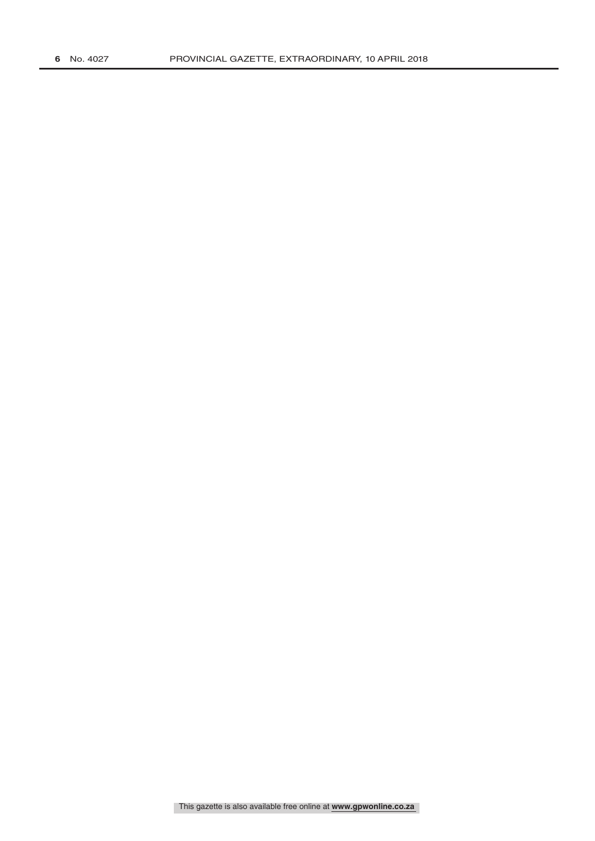This gazette is also available free online at **www.gpwonline.co.za**